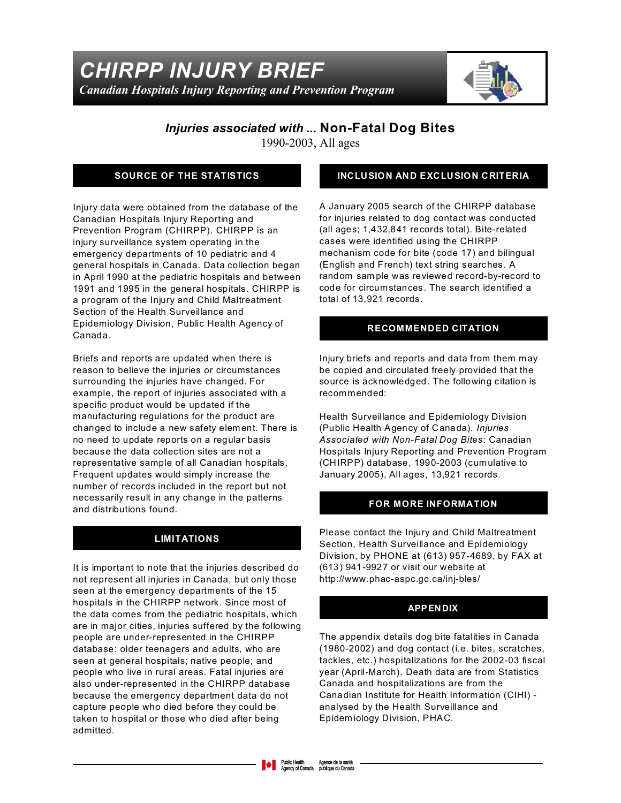

# *Injuries associated with ...* **Non-Fatal Dog Bites**

1990-2003, All ages

### **SOURCE OF THE STATISTICS**

Injury data were obtained from the database of the Canadian Hospitals Injury Reporting and Prevention Program (CHIRPP). CHIRPP is an injury surveillance system operating in the emergency departments of 10 pediatric and 4 general hospitals in Canada. Data collection began in April 1990 at the pediatric hospitals and between 1991 and 1995 in the general hospitals. CHIRPP is a program of the Injury and Child Maltreatment Section of the Health Surveillance and Epidemiology Division, Public Health Agency of Canada.

Briefs and reports are updated when there is reason to believe the injuries or circumstances surrounding the injuries have changed. For example, the report of injuries associated with a specific product would be updated if the manufacturing regulations for the product are changed to include a new safety elem ent. There is no need to update reports on a regular basis because the data collection sites are not a representative sample of all Canadian hospitals. Frequent updates would simply increase the number of records included in the report but not necessarily result in any change in the patterns and distributions found.

#### **LIMITATIONS**

It is important to note that the injuries described do not represent all injuries in Canada, but only those seen at the emergency departments of the 15 hospitals in the CHIRPP network. Since most of the data comes from the pediatric hospitals, which are in major cities, injuries suffered by the following people are under-represented in the CHIRPP database: older teenagers and adults, who are seen at general hospitals; native people; and people who live in rural areas. Fatal injuries are also under-represented in the CHIRPP database because the emergency department data do not capture people who died before they could be taken to hospital or those who died after being admitted.

#### **INCLUSION AND EXCLUSION CRITERIA**

A January 2005 search of the CHIRPP database for injuries related to dog contact was conducted (all ages; 1,432,841 records total). Bite-related cases were identified using the CHIRPP mechanism code for bite (code 17) and bilingual (English and French) text string searches. A random sam ple was reviewed record-by-record to code for circumstances. The search identified a total of 13,921 records.

#### **RECOMMENDED CITATION**

Injury briefs and reports and data from them may be copied and circulated freely provided that the source is acknowledged. The following citation is recommended:

Health Surveillance and Epidemiology Division (Public Health Agency of Canada). *Injuries Associated with Non-Fatal Dog Bites*: Canadian Hospitals Injury Reporting and Prevention Program (CHIRPP) database, 1990-2003 (cumulative to January 2005), All ages, 13,921 records.

#### **FOR MORE INFORMATION**

Please contact the Injury and Child Maltreatment Section, Health Surveillance and Epidemiology Division, by PHONE at (613) 957-4689, by FAX at (613) 941-9927 or visit our website at http://www.phac-aspc.gc.ca/inj-bles/

#### **APPENDIX**

The appendix details dog bite fatalities in Canada (1980-2002) and dog contact (i.e. bites, scratches, tackles, etc.) hospitalizations for the 2002-03 fiscal year (April-March). Death data are from Statistics Canada and hospitalizations are from the Canadian Institute for Health Information (CIHI) analysed by the Health Surveillance and Epidem iology Division, PHAC.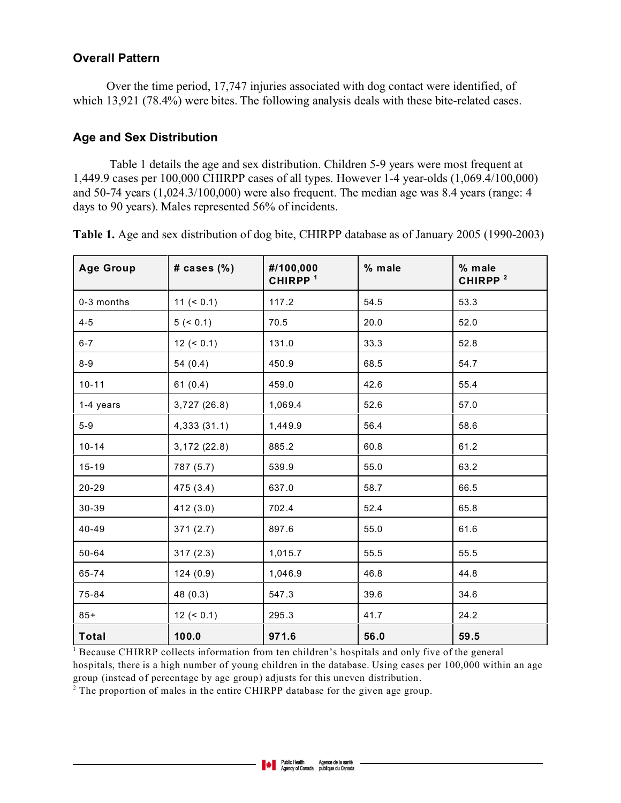### **Overall Pattern**

 Over the time period, 17,747 injuries associated with dog contact were identified, of which 13,921 (78.4%) were bites. The following analysis deals with these bite-related cases.

### **Age and Sex Distribution**

Table 1 details the age and sex distribution. Children 5-9 years were most frequent at 1,449.9 cases per 100,000 CHIRPP cases of all types. However 1-4 year-olds (1,069.4/100,000) and 50-74 years (1,024.3/100,000) were also frequent. The median age was 8.4 years (range: 4 days to 90 years). Males represented 56% of incidents.

| <b>Age Group</b> | # cases (%)  | #/100,000<br>CHIRPP <sup>1</sup> | % male | % male<br>CHIRPP <sup>2</sup> |
|------------------|--------------|----------------------------------|--------|-------------------------------|
| 0-3 months       | $11 (= 0.1)$ | 117.2                            | 54.5   | 53.3                          |
| $4 - 5$          | 5 (< 0.1)    | 70.5                             | 20.0   | 52.0                          |
| $6 - 7$          | $12 (= 0.1)$ | 131.0                            | 33.3   | 52.8                          |
| $8-9$            | 54(0.4)      | 450.9                            | 68.5   | 54.7                          |
| $10 - 11$        | 61(0.4)      | 459.0                            | 42.6   | 55.4                          |
| 1-4 years        | 3,727(26.8)  | 1,069.4                          | 52.6   | 57.0                          |
| $5-9$            | 4,333(31.1)  | 1,449.9                          | 56.4   | 58.6                          |
| $10 - 14$        | 3,172(22.8)  | 885.2                            | 60.8   | 61.2                          |
| $15 - 19$        | 787 (5.7)    | 539.9                            | 55.0   | 63.2                          |
| 20-29            | 475 (3.4)    | 637.0                            | 58.7   | 66.5                          |
| 30-39            | 412 (3.0)    | 702.4                            | 52.4   | 65.8                          |
| 40-49            | 371(2.7)     | 897.6                            | 55.0   | 61.6                          |
| 50-64            | 317(2.3)     | 1,015.7                          | 55.5   | 55.5                          |
| 65-74            | 124(0.9)     | 1,046.9                          | 46.8   | 44.8                          |
| 75-84            | 48 (0.3)     | 547.3                            | 39.6   | 34.6                          |
| $85+$            | $12 (= 0.1)$ | 295.3                            | 41.7   | 24.2                          |
| <b>Total</b>     | 100.0        | 971.6                            | 56.0   | 59.5                          |

**Table 1.** Age and sex distribution of dog bite, CHIRPP database as of January 2005 (1990-2003)

<sup>1</sup> Because CHIRRP collects information from ten children's hospitals and only five of the general hospitals, there is a high number of young children in the database. Using cases per 100,000 within an age group (instead of percentage by age group) adjusts for this uneven distribution.

 $2^{2}$  The proportion of males in the entire CHIRPP database for the given age group.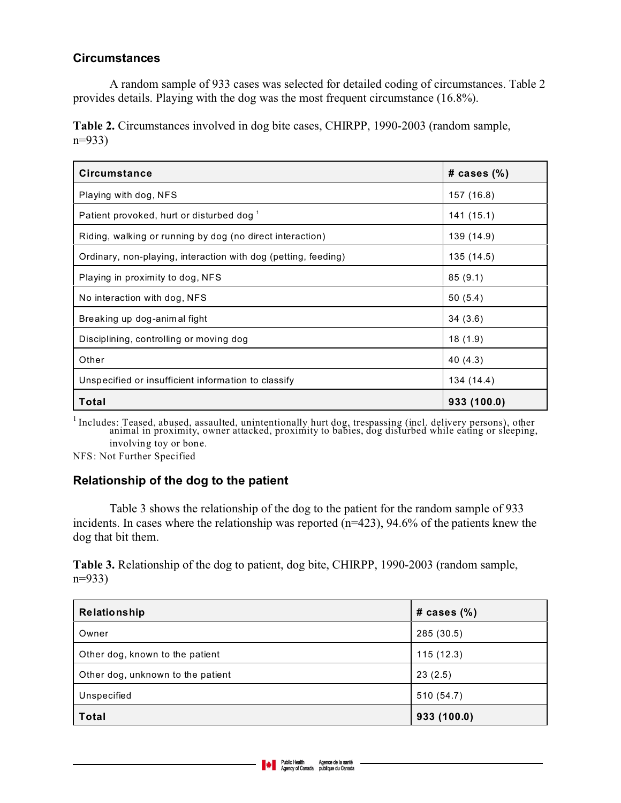## **Circumstances**

A random sample of 933 cases was selected for detailed coding of circumstances. Table 2 provides details. Playing with the dog was the most frequent circumstance (16.8%).

**Table 2.** Circumstances involved in dog bite cases, CHIRPP, 1990-2003 (random sample, n=933)

| <b>Circumstance</b>                                            | # cases $(\%)$ |
|----------------------------------------------------------------|----------------|
| Playing with dog, NFS                                          | 157 (16.8)     |
| Patient provoked, hurt or disturbed dog <sup>1</sup>           | 141 (15.1)     |
| Riding, walking or running by dog (no direct interaction)      | 139 (14.9)     |
| Ordinary, non-playing, interaction with dog (petting, feeding) | 135 (14.5)     |
| Playing in proximity to dog, NFS                               | 85(9.1)        |
| No interaction with dog, NFS                                   | 50(5.4)        |
| Breaking up dog-animal fight                                   | 34(3.6)        |
| Disciplining, controlling or moving dog                        | 18(1.9)        |
| Other                                                          | 40 (4.3)       |
| Unspecified or insufficient information to classify            | 134 (14.4)     |
| Total                                                          | 933 (100.0)    |

<sup>1</sup> Includes: Teased, abused, assaulted, unintentionally hurt dog, trespassing (incl. delivery persons), other animal in proximity, owner attacked, proximity to babies, dog disturbed while eating or sleeping, involving toy or bone.

NFS: Not Further Specified

# **Relationship of the dog to the patient**

Table 3 shows the relationship of the dog to the patient for the random sample of 933 incidents. In cases where the relationship was reported (n=423), 94.6% of the patients knew the dog that bit them.

**Table 3.** Relationship of the dog to patient, dog bite, CHIRPP, 1990-2003 (random sample, n=933)

| Relationship                      | # cases $(\%)$ |
|-----------------------------------|----------------|
| Owner                             | 285 (30.5)     |
| Other dog, known to the patient   | 115(12.3)      |
| Other dog, unknown to the patient | 23(2.5)        |
| Unspecified                       | 510 (54.7)     |
| <b>Total</b>                      | 933 (100.0)    |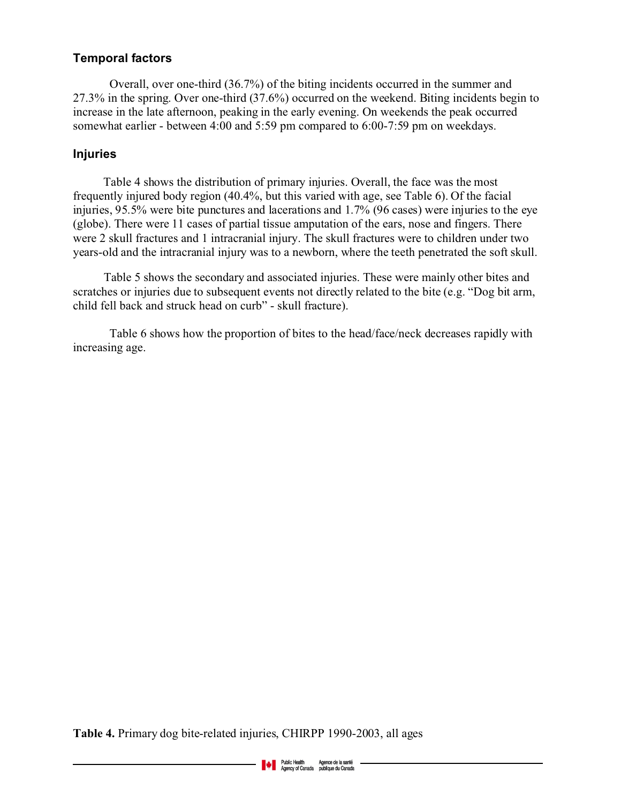## **Temporal factors**

Overall, over one-third (36.7%) of the biting incidents occurred in the summer and 27.3% in the spring. Over one-third (37.6%) occurred on the weekend. Biting incidents begin to increase in the late afternoon, peaking in the early evening. On weekends the peak occurred somewhat earlier - between 4:00 and 5:59 pm compared to 6:00-7:59 pm on weekdays.

### **Injuries**

 Table 4 shows the distribution of primary injuries. Overall, the face was the most frequently injured body region (40.4%, but this varied with age, see Table 6). Of the facial injuries, 95.5% were bite punctures and lacerations and 1.7% (96 cases) were injuries to the eye (globe). There were 11 cases of partial tissue amputation of the ears, nose and fingers. There were 2 skull fractures and 1 intracranial injury. The skull fractures were to children under two years-old and the intracranial injury was to a newborn, where the teeth penetrated the soft skull.

Table 5 shows the secondary and associated injuries. These were mainly other bites and scratches or injuries due to subsequent events not directly related to the bite (e.g. "Dog bit arm, child fell back and struck head on curb" - skull fracture).

Table 6 shows how the proportion of bites to the head/face/neck decreases rapidly with increasing age.

**Table 4.** Primary dog bite-related injuries, CHIRPP 1990-2003, all ages

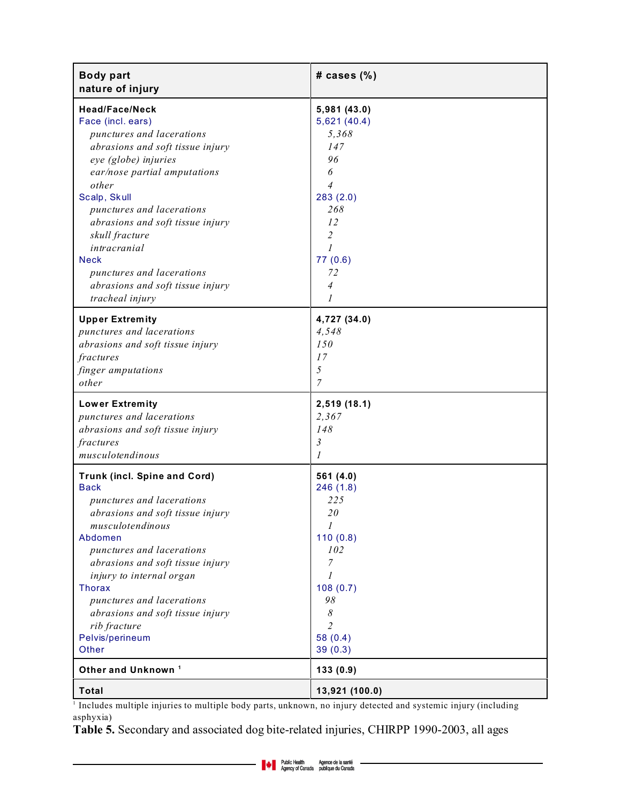| <b>Body part</b><br>nature of injury | # cases (%)    |
|--------------------------------------|----------------|
| <b>Head/Face/Neck</b>                | 5,981 (43.0)   |
| Face (incl. ears)                    | 5,621(40.4)    |
| punctures and lacerations            | 5,368          |
| abrasions and soft tissue injury     | 147            |
| eye (globe) injuries                 | 96             |
| ear/nose partial amputations         | 6              |
| other                                | 4              |
| Scalp, Skull                         | 283(2.0)       |
| punctures and lacerations            | 268            |
| abrasions and soft tissue injury     | 12             |
| skull fracture                       | $\overline{2}$ |
| intracranial                         | $\mathfrak{1}$ |
| <b>Neck</b>                          | 77(0.6)        |
| punctures and lacerations            | 72             |
| abrasions and soft tissue injury     | 4              |
| tracheal injury                      | 1              |
| <b>Upper Extremity</b>               | 4,727 (34.0)   |
| punctures and lacerations            | 4.548          |
| abrasions and soft tissue injury     | 150            |
| fractures                            | 17             |
| finger amputations                   | $\sqrt{2}$     |
| other                                | 7              |
| <b>Lower Extremity</b>               | 2,519 (18.1)   |
| punctures and lacerations            | 2,367          |
| abrasions and soft tissue injury     | 148            |
| fractures                            | $\mathfrak{Z}$ |
| musculotendinous                     | 1              |
| <b>Trunk (incl. Spine and Cord)</b>  | 561 (4.0)      |
| <b>Back</b>                          | 246(1.8)       |
| punctures and lacerations            | 225            |
| abrasions and soft tissue injury     | 20             |
| musculotendinous                     | 1              |
| Abdomen                              | 110(0.8)       |
| punctures and lacerations            | 102            |
| abrasions and soft tissue injury     | 7              |
| injury to internal organ             | 1              |
| <b>Thorax</b>                        | 108(0.7)       |
| punctures and lacerations            | 98             |
| abrasions and soft tissue injury     | 8              |
| rib fracture                         | $\overline{2}$ |
| Pelvis/perineum                      | 58 $(0.4)$     |
| Other                                | 39(0.3)        |
| Other and Unknown <sup>1</sup>       | 133(0.9)       |
| <b>Total</b>                         | 13,921 (100.0) |

<sup>1</sup> Includes multiple injuries to multiple body parts, unknown, no injury detected and systemic injury (including asphyxia)

**Table 5.** Secondary and associated dog bite-related injuries, CHIRPP 1990-2003, all ages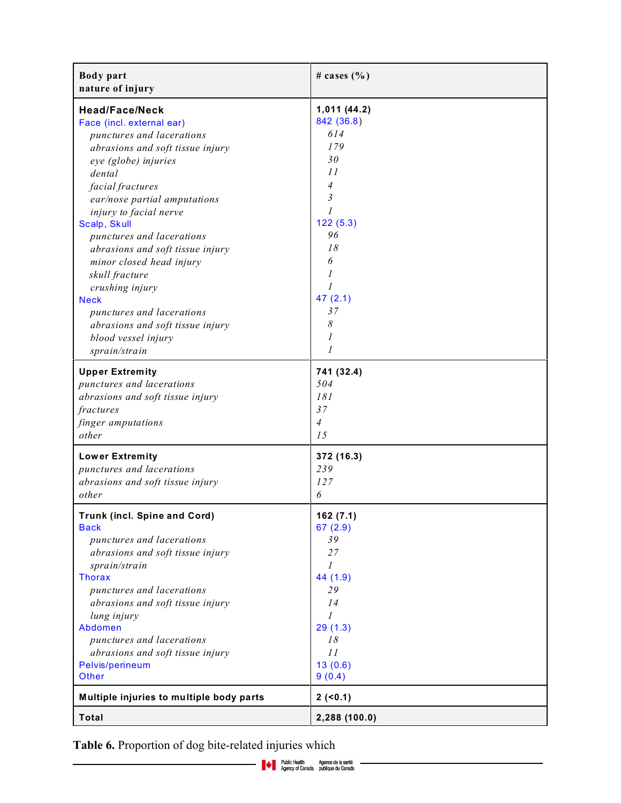| <b>Body</b> part<br>nature of injury     | # cases $(\% )$ |
|------------------------------------------|-----------------|
| <b>Head/Face/Neck</b>                    | 1,011 (44.2)    |
| Face (incl. external ear)                | 842 (36.8)      |
| punctures and lacerations                | 614             |
| abrasions and soft tissue injury         | 179             |
| eye (globe) injuries                     | 30              |
| dental                                   | 11              |
| facial fractures                         | 4               |
| ear/nose partial amputations             | 3               |
| injury to facial nerve                   | 1               |
| Scalp, Skull                             | 122(5.3)        |
| punctures and lacerations                | 96              |
| abrasions and soft tissue injury         | 18              |
| minor closed head injury                 | 6               |
| skull fracture                           | 1               |
| crushing injury                          | $\mathfrak{1}$  |
| <b>Neck</b>                              | 47(2.1)         |
| punctures and lacerations                | 37              |
| abrasions and soft tissue injury         | 8               |
| blood vessel injury                      | 1               |
| sprain/strain                            | 1               |
| <b>Upper Extremity</b>                   | 741 (32.4)      |
| punctures and lacerations                | 504             |
| abrasions and soft tissue injury         | 181             |
| fractures                                | 37              |
| finger amputations                       | $\overline{4}$  |
| other                                    | 15              |
| <b>Lower Extremity</b>                   | 372 (16.3)      |
| punctures and lacerations                | 239             |
| abrasions and soft tissue injury         | 127             |
| other                                    | 6               |
| Trunk (incl. Spine and Cord)             | 162 (7.1)       |
| <b>Back</b>                              | 67(2.9)         |
| punctures and lacerations                | 39              |
| abrasions and soft tissue injury         | 27              |
| sprain/strain                            | $\mathcal{I}$   |
| <b>Thorax</b>                            | 44 (1.9)        |
| punctures and lacerations                | 29              |
| abrasions and soft tissue injury         | 14              |
| lung injury                              | $\mathcal{I}$   |
| Abdomen                                  | 29(1.3)         |
| punctures and lacerations                | 18              |
| abrasions and soft tissue injury         | 11              |
| Pelvis/perineum                          | 13(0.6)         |
| Other                                    | 9(0.4)          |
| Multiple injuries to multiple body parts | 2(50.1)         |
| Total                                    | 2,288 (100.0)   |

**Table 6.** Proportion of dog bite-related injuries which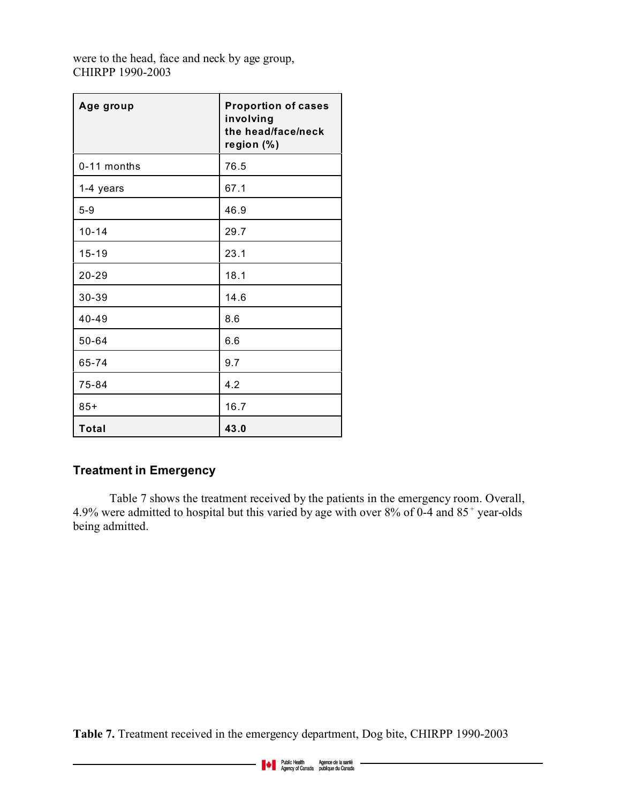were to the head, face and neck by age group, CHIRPP 1990-2003

| Age group   | <b>Proportion of cases</b><br>involving<br>the head/face/neck<br>region (%) |
|-------------|-----------------------------------------------------------------------------|
| 0-11 months | 76.5                                                                        |
| 1-4 years   | 67.1                                                                        |
| $5 - 9$     | 46.9                                                                        |
| $10 - 14$   | 29.7                                                                        |
| $15 - 19$   | 23.1                                                                        |
| 20-29       | 18.1                                                                        |
| 30-39       | 14.6                                                                        |
| 40-49       | 8.6                                                                         |
| 50-64       | 6.6                                                                         |
| 65-74       | 9.7                                                                         |
| 75-84       | 4.2                                                                         |
| $85+$       | 16.7                                                                        |
| Total       | 43.0                                                                        |

# **Treatment in Emergency**

Table 7 shows the treatment received by the patients in the emergency room. Overall, 4.9% were admitted to hospital but this varied by age with over  $8\%$  of 0-4 and  $85^+$  year-olds being admitted.

**Table 7.** Treatment received in the emergency department, Dog bite, CHIRPP 1990-2003

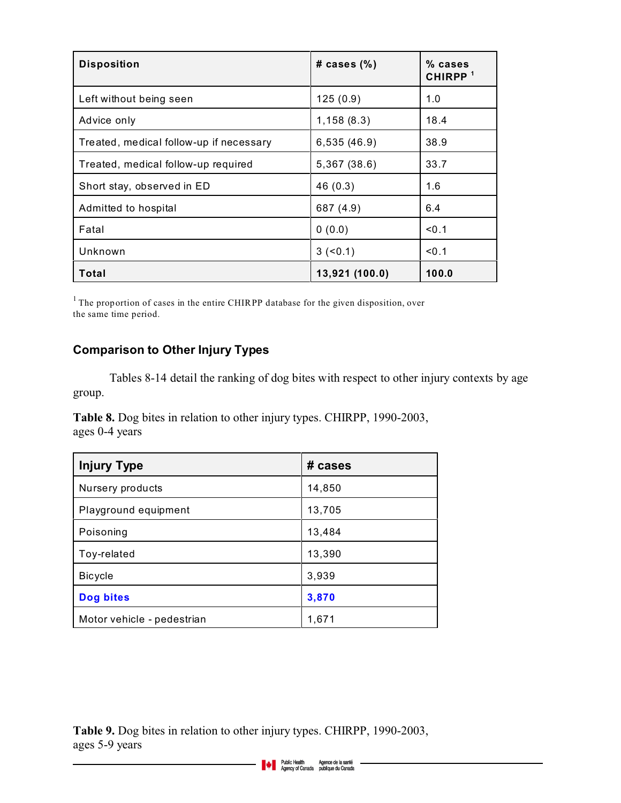| <b>Disposition</b>                      | # cases $(\%)$ | % cases<br>CHIRPP <sup>1</sup> |
|-----------------------------------------|----------------|--------------------------------|
| Left without being seen                 | 125(0.9)       | 1.0                            |
| Advice only                             | 1,158(8.3)     | 18.4                           |
| Treated, medical follow-up if necessary | 6,535 (46.9)   | 38.9                           |
| Treated, medical follow-up required     | 5,367 (38.6)   | 33.7                           |
| Short stay, observed in ED              | 46 (0.3)       | 1.6                            |
| Admitted to hospital                    | 687 (4.9)      | 6.4                            |
| Fatal                                   | 0(0.0)         | < 0.1                          |
| Unknown                                 | $3 (-0.1)$     | < 0.1                          |
| Total                                   | 13,921 (100.0) | 100.0                          |

<sup>1</sup> The proportion of cases in the entire CHIRPP database for the given disposition, over the same time period.

# **Comparison to Other Injury Types**

Tables 8-14 detail the ranking of dog bites with respect to other injury contexts by age group.

**Table 8.** Dog bites in relation to other injury types. CHIRPP, 1990-2003, ages 0-4 years

| <b>Injury Type</b>         | # cases |
|----------------------------|---------|
| Nursery products           | 14,850  |
| Playground equipment       | 13,705  |
| Poisoning                  | 13,484  |
| Toy-related                | 13,390  |
| <b>Bicycle</b>             | 3,939   |
| <b>Dog bites</b>           | 3,870   |
| Motor vehicle - pedestrian | 1,671   |

**Table 9.** Dog bites in relation to other injury types. CHIRPP, 1990-2003, ages 5-9 years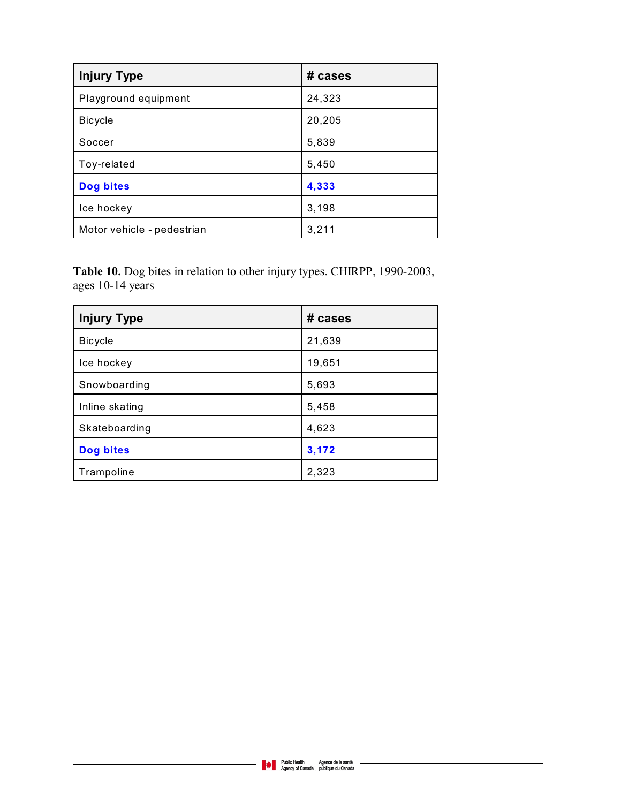| <b>Injury Type</b>         | # cases |
|----------------------------|---------|
| Playground equipment       | 24,323  |
| <b>Bicycle</b>             | 20,205  |
| Soccer                     | 5,839   |
| Toy-related                | 5,450   |
| <b>Dog bites</b>           | 4,333   |
| Ice hockey                 | 3,198   |
| Motor vehicle - pedestrian | 3,211   |

**Table 10.** Dog bites in relation to other injury types. CHIRPP, 1990-2003, ages 10-14 years

| <b>Injury Type</b> | # cases |
|--------------------|---------|
| <b>Bicycle</b>     | 21,639  |
| Ice hockey         | 19,651  |
| Snowboarding       | 5,693   |
| Inline skating     | 5,458   |
| Skateboarding      | 4,623   |
| <b>Dog bites</b>   | 3,172   |
| Trampoline         | 2,323   |

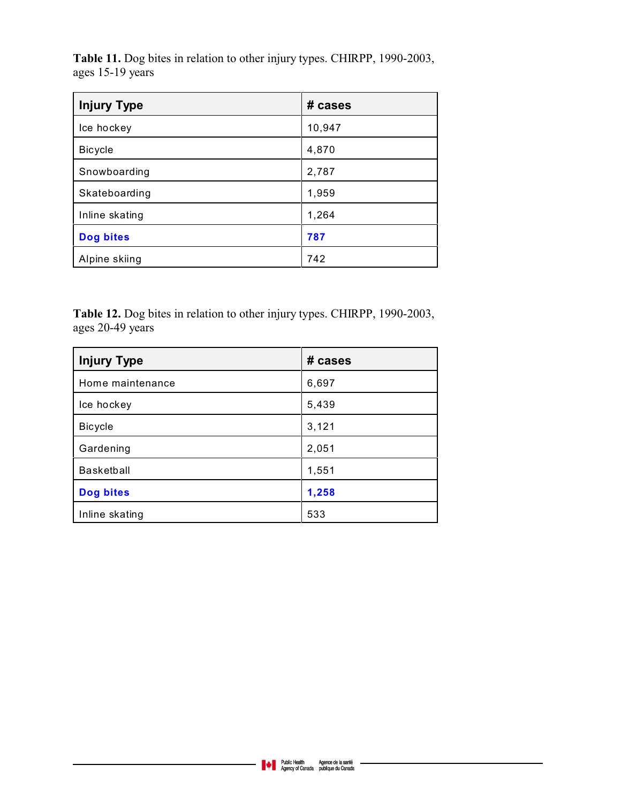**Table 11.** Dog bites in relation to other injury types. CHIRPP, 1990-2003, ages 15-19 years

| <b>Injury Type</b> | # cases |
|--------------------|---------|
| Ice hockey         | 10,947  |
| <b>Bicycle</b>     | 4,870   |
| Snowboarding       | 2,787   |
| Skateboarding      | 1,959   |
| Inline skating     | 1,264   |
| <b>Dog bites</b>   | 787     |
| Alpine skiing      | 742     |

**Table 12.** Dog bites in relation to other injury types. CHIRPP, 1990-2003, ages 20-49 years

| <b>Injury Type</b> | # cases |
|--------------------|---------|
| Home maintenance   | 6,697   |
| Ice hockey         | 5,439   |
| <b>Bicycle</b>     | 3,121   |
| Gardening          | 2,051   |
| <b>Basketball</b>  | 1,551   |
| <b>Dog bites</b>   | 1,258   |
| Inline skating     | 533     |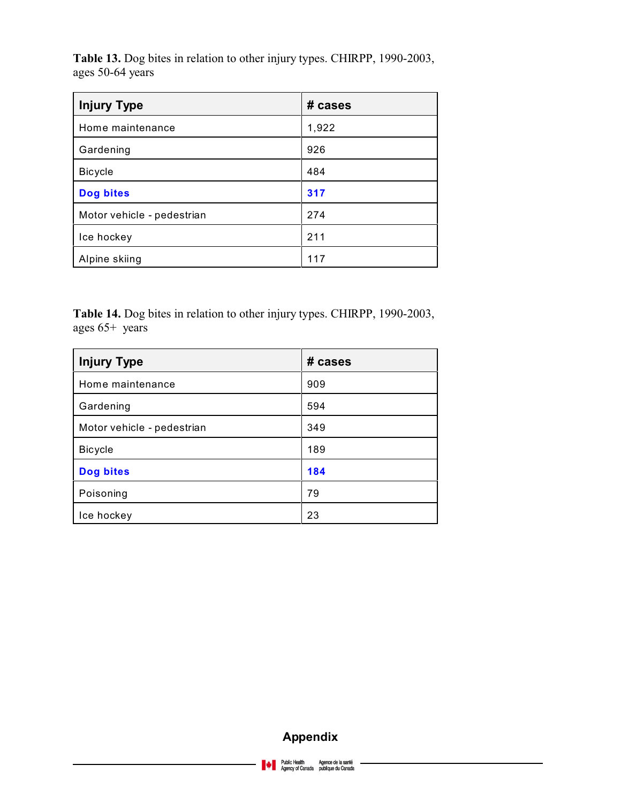**Table 13.** Dog bites in relation to other injury types. CHIRPP, 1990-2003, ages 50-64 years

| <b>Injury Type</b>         | # cases |
|----------------------------|---------|
| Home maintenance           | 1,922   |
| Gardening                  | 926     |
| <b>Bicycle</b>             | 484     |
| <b>Dog bites</b>           | 317     |
| Motor vehicle - pedestrian | 274     |
| Ice hockey                 | 211     |
| Alpine skiing              | 117     |

**Table 14.** Dog bites in relation to other injury types. CHIRPP, 1990-2003, ages 65+ years

| <b>Injury Type</b>         | # cases |
|----------------------------|---------|
| Home maintenance           | 909     |
| Gardening                  | 594     |
| Motor vehicle - pedestrian | 349     |
| <b>Bicycle</b>             | 189     |
| <b>Dog bites</b>           | 184     |
| Poisoning                  | 79      |
| Ice hockey                 | 23      |

## **Appendix**